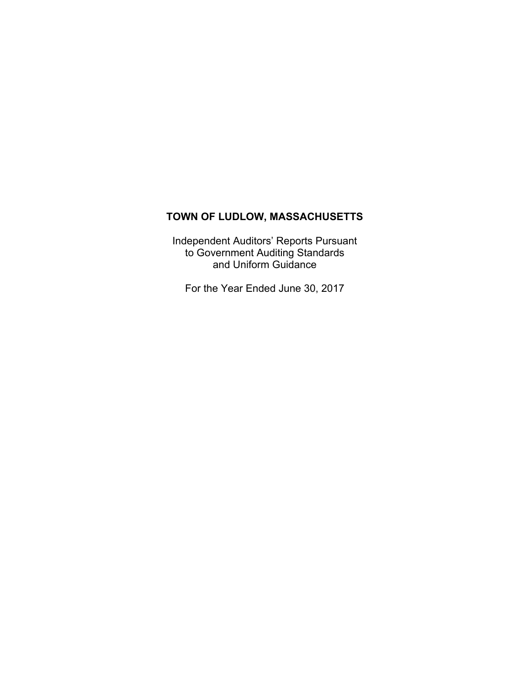Independent Auditors' Reports Pursuant to Government Auditing Standards and Uniform Guidance

For the Year Ended June 30, 2017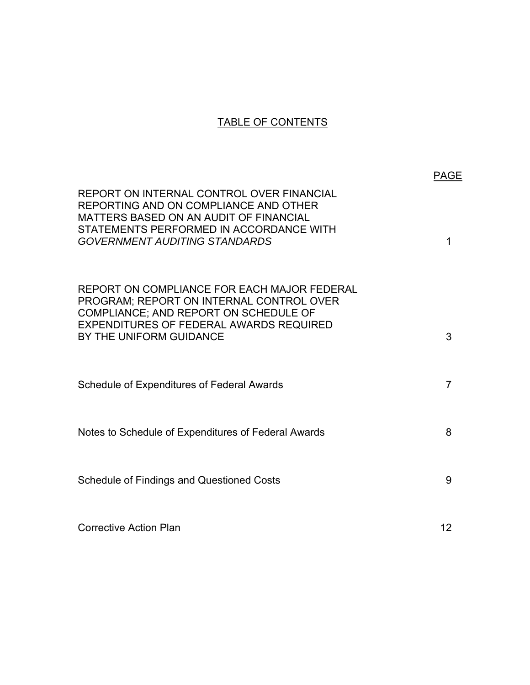# TABLE OF CONTENTS

|                                                                                                                                                                                                                 | <b>PAGE</b>    |
|-----------------------------------------------------------------------------------------------------------------------------------------------------------------------------------------------------------------|----------------|
| REPORT ON INTERNAL CONTROL OVER FINANCIAL<br>REPORTING AND ON COMPLIANCE AND OTHER<br>MATTERS BASED ON AN AUDIT OF FINANCIAL<br>STATEMENTS PERFORMED IN ACCORDANCE WITH<br><b>GOVERNMENT AUDITING STANDARDS</b> |                |
| REPORT ON COMPLIANCE FOR EACH MAJOR FEDERAL<br>PROGRAM; REPORT ON INTERNAL CONTROL OVER<br>COMPLIANCE; AND REPORT ON SCHEDULE OF<br>EXPENDITURES OF FEDERAL AWARDS REQUIRED<br>BY THE UNIFORM GUIDANCE          | 3              |
| Schedule of Expenditures of Federal Awards                                                                                                                                                                      | $\overline{7}$ |
| Notes to Schedule of Expenditures of Federal Awards                                                                                                                                                             | 8              |
| <b>Schedule of Findings and Questioned Costs</b>                                                                                                                                                                | 9              |
| <b>Corrective Action Plan</b>                                                                                                                                                                                   | 12             |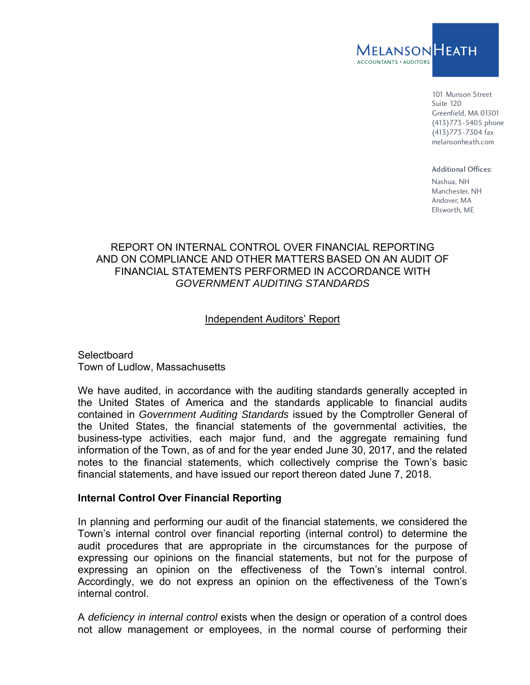

101 Munson Street Suite 120 Greenfield, MA 01301 (413)773-5405 phone (413)773-7304 fax melansonheath.com

Additional Offices:

Nashua, NH Manchester, NH Andover, MA Ellsworth, ME

# REPORT ON INTERNAL CONTROL OVER FINANCIAL REPORTING AND ON COMPLIANCE AND OTHER MATTERS BASED ON AN AUDIT OF FINANCIAL STATEMENTS PERFORMED IN ACCORDANCE WITH *GOVERNMENT AUDITING STANDARDS*

#### Independent Auditors' Report

**Selectboard** Town of Ludlow, Massachusetts

We have audited, in accordance with the auditing standards generally accepted in the United States of America and the standards applicable to financial audits contained in *Government Auditing Standards* issued by the Comptroller General of the United States, the financial statements of the governmental activities, the business-type activities, each major fund, and the aggregate remaining fund information of the Town, as of and for the year ended June 30, 2017, and the related notes to the financial statements, which collectively comprise the Town's basic financial statements, and have issued our report thereon dated June 7, 2018.

#### **Internal Control Over Financial Reporting**

In planning and performing our audit of the financial statements, we considered the Town's internal control over financial reporting (internal control) to determine the audit procedures that are appropriate in the circumstances for the purpose of expressing our opinions on the financial statements, but not for the purpose of expressing an opinion on the effectiveness of the Town's internal control. Accordingly, we do not express an opinion on the effectiveness of the Town's internal control.

A *deficiency in internal control* exists when the design or operation of a control does not allow management or employees, in the normal course of performing their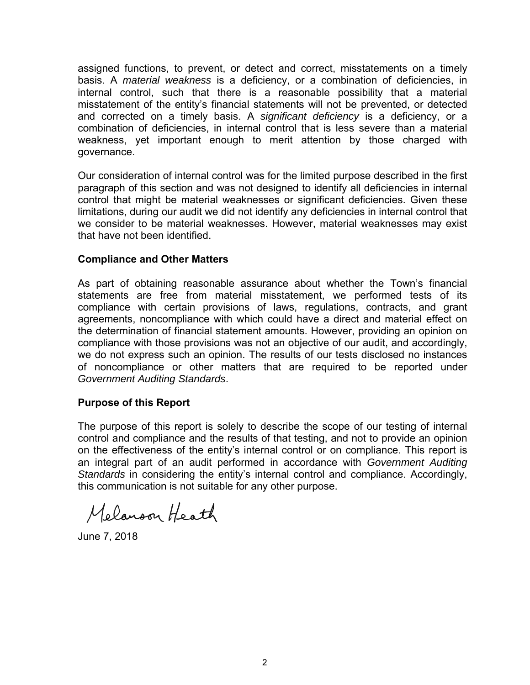assigned functions, to prevent, or detect and correct, misstatements on a timely basis. A *material weakness* is a deficiency, or a combination of deficiencies, in internal control, such that there is a reasonable possibility that a material misstatement of the entity's financial statements will not be prevented, or detected and corrected on a timely basis. A *significant deficiency* is a deficiency, or a combination of deficiencies, in internal control that is less severe than a material weakness, yet important enough to merit attention by those charged with governance.

Our consideration of internal control was for the limited purpose described in the first paragraph of this section and was not designed to identify all deficiencies in internal control that might be material weaknesses or significant deficiencies. Given these limitations, during our audit we did not identify any deficiencies in internal control that we consider to be material weaknesses. However, material weaknesses may exist that have not been identified.

#### **Compliance and Other Matters**

As part of obtaining reasonable assurance about whether the Town's financial statements are free from material misstatement, we performed tests of its compliance with certain provisions of laws, regulations, contracts, and grant agreements, noncompliance with which could have a direct and material effect on the determination of financial statement amounts. However, providing an opinion on compliance with those provisions was not an objective of our audit, and accordingly, we do not express such an opinion. The results of our tests disclosed no instances of noncompliance or other matters that are required to be reported under *Government Auditing Standards*.

#### **Purpose of this Report**

The purpose of this report is solely to describe the scope of our testing of internal control and compliance and the results of that testing, and not to provide an opinion on the effectiveness of the entity's internal control or on compliance. This report is an integral part of an audit performed in accordance with *Government Auditing Standards* in considering the entity's internal control and compliance. Accordingly, this communication is not suitable for any other purpose.

Melanson Heath

June 7, 2018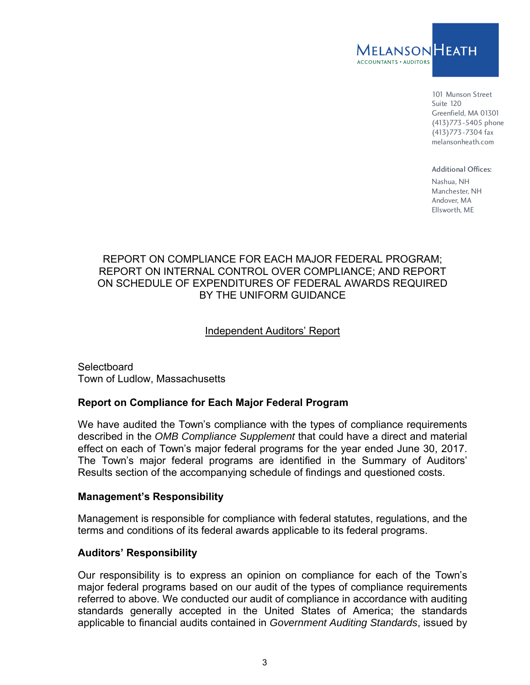

101 Munson Street Suite 120 Greenfield, MA 01301 (413)773-5405 phone (413)773-7304 fax melansonheath.com

Additional Offices:

Nashua, NH Manchester, NH Andover, MA Ellsworth, ME

# REPORT ON COMPLIANCE FOR EACH MAJOR FEDERAL PROGRAM; REPORT ON INTERNAL CONTROL OVER COMPLIANCE; AND REPORT ON SCHEDULE OF EXPENDITURES OF FEDERAL AWARDS REQUIRED BY THE UNIFORM GUIDANCE

Independent Auditors' Report

**Selectboard** Town of Ludlow, Massachusetts

#### **Report on Compliance for Each Major Federal Program**

We have audited the Town's compliance with the types of compliance requirements described in the *OMB Compliance Supplement* that could have a direct and material effect on each of Town's major federal programs for the year ended June 30, 2017. The Town's major federal programs are identified in the Summary of Auditors' Results section of the accompanying schedule of findings and questioned costs.

#### **Management's Responsibility**

Management is responsible for compliance with federal statutes, regulations, and the terms and conditions of its federal awards applicable to its federal programs.

#### **Auditors' Responsibility**

Our responsibility is to express an opinion on compliance for each of the Town's major federal programs based on our audit of the types of compliance requirements referred to above. We conducted our audit of compliance in accordance with auditing standards generally accepted in the United States of America; the standards applicable to financial audits contained in *Government Auditing Standards*, issued by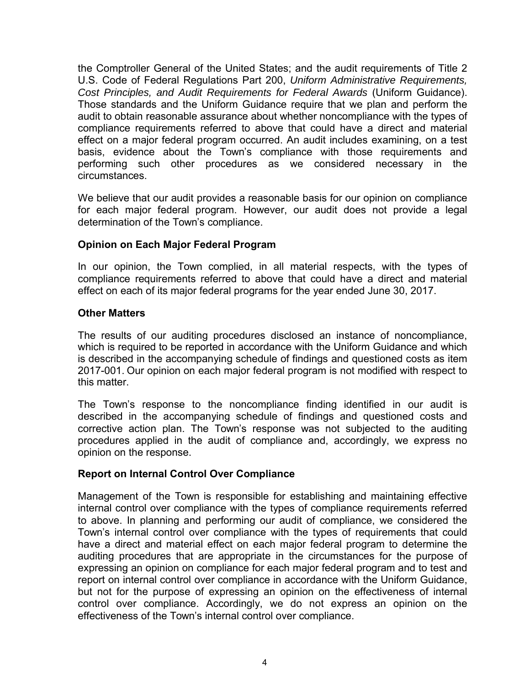the Comptroller General of the United States; and the audit requirements of Title 2 U.S. Code of Federal Regulations Part 200, *Uniform Administrative Requirements, Cost Principles, and Audit Requirements for Federal Awards* (Uniform Guidance). Those standards and the Uniform Guidance require that we plan and perform the audit to obtain reasonable assurance about whether noncompliance with the types of compliance requirements referred to above that could have a direct and material effect on a major federal program occurred. An audit includes examining, on a test basis, evidence about the Town's compliance with those requirements and performing such other procedures as we considered necessary in the circumstances.

We believe that our audit provides a reasonable basis for our opinion on compliance for each major federal program. However, our audit does not provide a legal determination of the Town's compliance.

# **Opinion on Each Major Federal Program**

In our opinion, the Town complied, in all material respects, with the types of compliance requirements referred to above that could have a direct and material effect on each of its major federal programs for the year ended June 30, 2017.

## **Other Matters**

The results of our auditing procedures disclosed an instance of noncompliance, which is required to be reported in accordance with the Uniform Guidance and which is described in the accompanying schedule of findings and questioned costs as item 2017-001. Our opinion on each major federal program is not modified with respect to this matter.

The Town's response to the noncompliance finding identified in our audit is described in the accompanying schedule of findings and questioned costs and corrective action plan. The Town's response was not subjected to the auditing procedures applied in the audit of compliance and, accordingly, we express no opinion on the response.

# **Report on Internal Control Over Compliance**

Management of the Town is responsible for establishing and maintaining effective internal control over compliance with the types of compliance requirements referred to above. In planning and performing our audit of compliance, we considered the Town's internal control over compliance with the types of requirements that could have a direct and material effect on each major federal program to determine the auditing procedures that are appropriate in the circumstances for the purpose of expressing an opinion on compliance for each major federal program and to test and report on internal control over compliance in accordance with the Uniform Guidance, but not for the purpose of expressing an opinion on the effectiveness of internal control over compliance. Accordingly, we do not express an opinion on the effectiveness of the Town's internal control over compliance.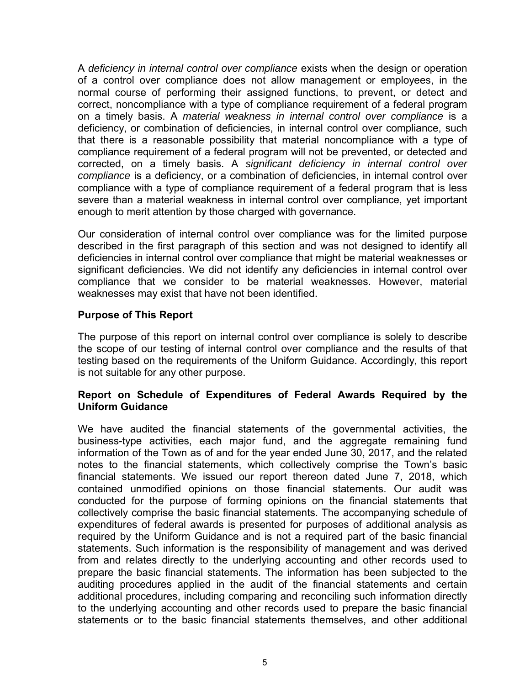A *deficiency in internal control over compliance* exists when the design or operation of a control over compliance does not allow management or employees, in the normal course of performing their assigned functions, to prevent, or detect and correct, noncompliance with a type of compliance requirement of a federal program on a timely basis. A *material weakness in internal control over compliance* is a deficiency, or combination of deficiencies, in internal control over compliance, such that there is a reasonable possibility that material noncompliance with a type of compliance requirement of a federal program will not be prevented, or detected and corrected, on a timely basis. A *significant deficiency in internal control over compliance* is a deficiency, or a combination of deficiencies, in internal control over compliance with a type of compliance requirement of a federal program that is less severe than a material weakness in internal control over compliance, yet important enough to merit attention by those charged with governance.

Our consideration of internal control over compliance was for the limited purpose described in the first paragraph of this section and was not designed to identify all deficiencies in internal control over compliance that might be material weaknesses or significant deficiencies. We did not identify any deficiencies in internal control over compliance that we consider to be material weaknesses. However, material weaknesses may exist that have not been identified.

#### **Purpose of This Report**

The purpose of this report on internal control over compliance is solely to describe the scope of our testing of internal control over compliance and the results of that testing based on the requirements of the Uniform Guidance. Accordingly, this report is not suitable for any other purpose.

## **Report on Schedule of Expenditures of Federal Awards Required by the Uniform Guidance**

We have audited the financial statements of the governmental activities, the business-type activities, each major fund, and the aggregate remaining fund information of the Town as of and for the year ended June 30, 2017, and the related notes to the financial statements, which collectively comprise the Town's basic financial statements. We issued our report thereon dated June 7, 2018, which contained unmodified opinions on those financial statements. Our audit was conducted for the purpose of forming opinions on the financial statements that collectively comprise the basic financial statements. The accompanying schedule of expenditures of federal awards is presented for purposes of additional analysis as required by the Uniform Guidance and is not a required part of the basic financial statements. Such information is the responsibility of management and was derived from and relates directly to the underlying accounting and other records used to prepare the basic financial statements. The information has been subjected to the auditing procedures applied in the audit of the financial statements and certain additional procedures, including comparing and reconciling such information directly to the underlying accounting and other records used to prepare the basic financial statements or to the basic financial statements themselves, and other additional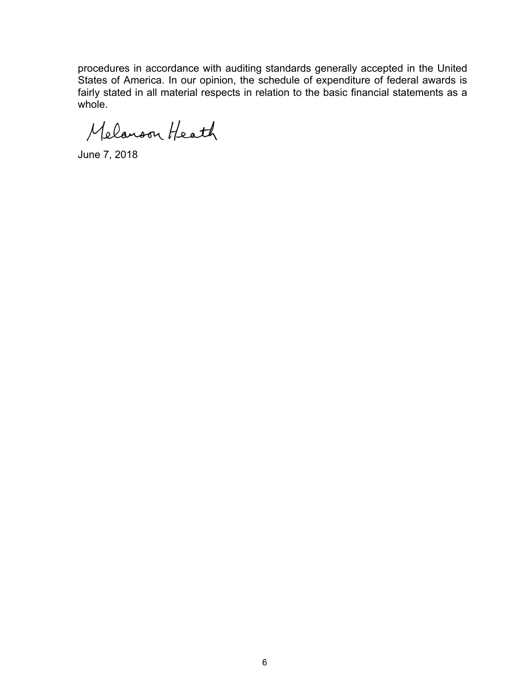procedures in accordance with auditing standards generally accepted in the United States of America. In our opinion, the schedule of expenditure of federal awards is fairly stated in all material respects in relation to the basic financial statements as a whole.

Melanson Heath

June 7, 2018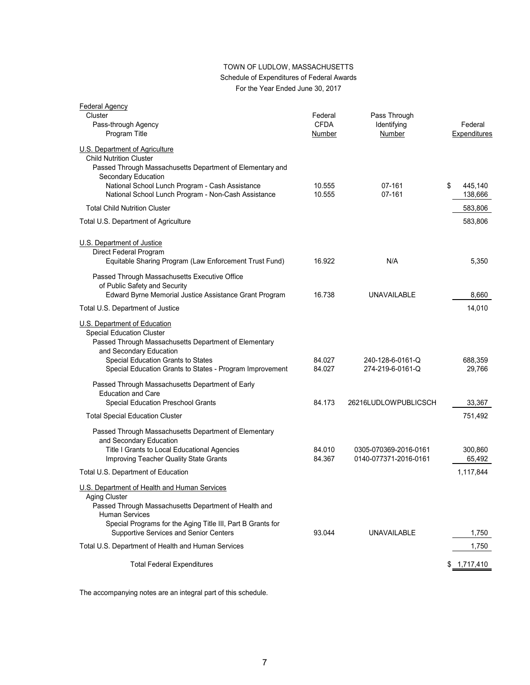Schedule of Expenditures of Federal Awards

For the Year Ended June 30, 2017

| <b>Federal Agency</b><br>Cluster<br>Pass-through Agency<br>Program Title                                                                                                                                                                                        | Federal<br><b>CFDA</b><br>Number | Pass Through<br>Identifying<br>Number          | Federal<br>Expenditures  |  |
|-----------------------------------------------------------------------------------------------------------------------------------------------------------------------------------------------------------------------------------------------------------------|----------------------------------|------------------------------------------------|--------------------------|--|
| U.S. Department of Agriculture<br><b>Child Nutrition Cluster</b><br>Passed Through Massachusetts Department of Elementary and<br>Secondary Education<br>National School Lunch Program - Cash Assistance<br>National School Lunch Program - Non-Cash Assistance  | 10.555<br>10.555                 | 07-161<br>07-161                               | \$<br>445,140<br>138,666 |  |
| <b>Total Child Nutrition Cluster</b>                                                                                                                                                                                                                            |                                  |                                                | 583,806                  |  |
| Total U.S. Department of Agriculture                                                                                                                                                                                                                            |                                  |                                                | 583,806                  |  |
| U.S. Department of Justice<br>Direct Federal Program<br>Equitable Sharing Program (Law Enforcement Trust Fund)<br>Passed Through Massachusetts Executive Office<br>of Public Safety and Security                                                                | 16.922                           | N/A                                            | 5,350                    |  |
| Edward Byrne Memorial Justice Assistance Grant Program                                                                                                                                                                                                          | 16.738                           | <b>UNAVAILABLE</b>                             | 8,660                    |  |
| Total U.S. Department of Justice                                                                                                                                                                                                                                |                                  |                                                | 14,010                   |  |
| U.S. Department of Education<br><b>Special Education Cluster</b><br>Passed Through Massachusetts Department of Elementary<br>and Secondary Education<br>Special Education Grants to States<br>Special Education Grants to States - Program Improvement          | 84.027<br>84.027                 | 240-128-6-0161-Q<br>274-219-6-0161-Q           | 688,359<br>29,766        |  |
| Passed Through Massachusetts Department of Early<br><b>Education and Care</b><br>Special Education Preschool Grants                                                                                                                                             | 84.173                           | 26216LUDLOWPUBLICSCH                           | 33,367                   |  |
| <b>Total Special Education Cluster</b>                                                                                                                                                                                                                          |                                  |                                                | 751,492                  |  |
| Passed Through Massachusetts Department of Elementary<br>and Secondary Education<br>Title I Grants to Local Educational Agencies<br>Improving Teacher Quality State Grants                                                                                      | 84.010<br>84.367                 | 0305-070369-2016-0161<br>0140-077371-2016-0161 | 300,860<br>65,492        |  |
| Total U.S. Department of Education                                                                                                                                                                                                                              |                                  |                                                | 1,117,844                |  |
| U.S. Department of Health and Human Services<br><b>Aging Cluster</b><br>Passed Through Massachusetts Department of Health and<br><b>Human Services</b><br>Special Programs for the Aging Title III, Part B Grants for<br>Supportive Services and Senior Centers | 93.044                           | UNAVAILABLE                                    | 1,750                    |  |
| Total U.S. Department of Health and Human Services                                                                                                                                                                                                              |                                  |                                                | 1,750                    |  |
| <b>Total Federal Expenditures</b>                                                                                                                                                                                                                               |                                  |                                                | \$1,717,410              |  |

The accompanying notes are an integral part of this schedule.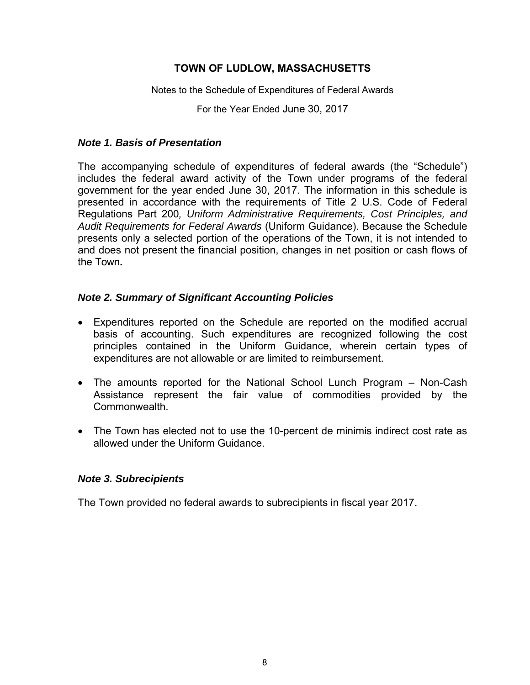Notes to the Schedule of Expenditures of Federal Awards

For the Year Ended June 30, 2017

### *Note 1. Basis of Presentation*

The accompanying schedule of expenditures of federal awards (the "Schedule") includes the federal award activity of the Town under programs of the federal government for the year ended June 30, 2017. The information in this schedule is presented in accordance with the requirements of Title 2 U.S. Code of Federal Regulations Part 200*, Uniform Administrative Requirements, Cost Principles, and Audit Requirements for Federal Awards* (Uniform Guidance). Because the Schedule presents only a selected portion of the operations of the Town, it is not intended to and does not present the financial position, changes in net position or cash flows of the Town**.**

## *Note 2. Summary of Significant Accounting Policies*

- Expenditures reported on the Schedule are reported on the modified accrual basis of accounting. Such expenditures are recognized following the cost principles contained in the Uniform Guidance, wherein certain types of expenditures are not allowable or are limited to reimbursement.
- The amounts reported for the National School Lunch Program Non-Cash Assistance represent the fair value of commodities provided by the Commonwealth.
- The Town has elected not to use the 10-percent de minimis indirect cost rate as allowed under the Uniform Guidance.

#### *Note 3. Subrecipients*

The Town provided no federal awards to subrecipients in fiscal year 2017.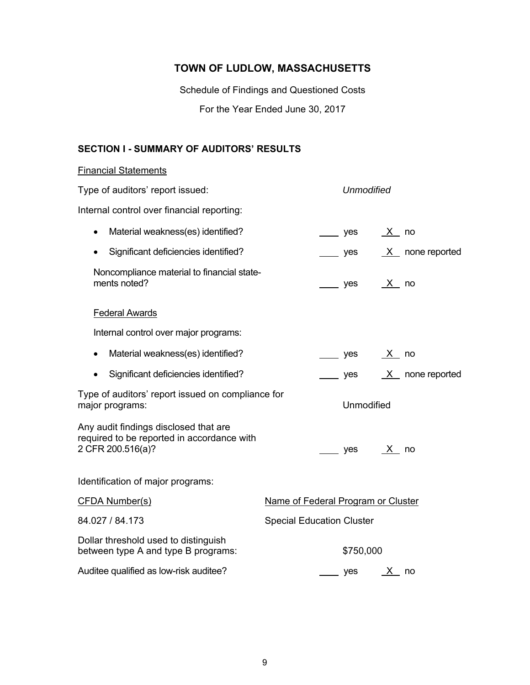Schedule of Findings and Questioned Costs

For the Year Ended June 30, 2017

# **SECTION I - SUMMARY OF AUDITORS' RESULTS**

#### Financial Statements

| Type of auditors' report issued:                                                                         | <b>Unmodified</b>                  |  |                                |        |                   |
|----------------------------------------------------------------------------------------------------------|------------------------------------|--|--------------------------------|--------|-------------------|
| Internal control over financial reporting:                                                               |                                    |  |                                |        |                   |
| Material weakness(es) identified?                                                                        |                                    |  | $\rule{1em}{0.15mm}$ yes       | $X$ no |                   |
| Significant deficiencies identified?<br>$\bullet$                                                        |                                    |  | yes                            |        | $X$ none reported |
| Noncompliance material to financial state-<br>ments noted?                                               |                                    |  | yes                            | $X$ no |                   |
| <b>Federal Awards</b>                                                                                    |                                    |  |                                |        |                   |
| Internal control over major programs:                                                                    |                                    |  |                                |        |                   |
| Material weakness(es) identified?<br>٠                                                                   |                                    |  | ______ yes ____ <u>X</u> __ no |        |                   |
| Significant deficiencies identified?                                                                     |                                    |  | yes                            |        | $X$ none reported |
| Type of auditors' report issued on compliance for<br>major programs:                                     | Unmodified                         |  |                                |        |                   |
| Any audit findings disclosed that are<br>required to be reported in accordance with<br>2 CFR 200.516(a)? |                                    |  | yes                            | $X$ no |                   |
| Identification of major programs:                                                                        |                                    |  |                                |        |                   |
| <b>CFDA Number(s)</b>                                                                                    | Name of Federal Program or Cluster |  |                                |        |                   |
| 84.027 / 84.173                                                                                          | <b>Special Education Cluster</b>   |  |                                |        |                   |
| Dollar threshold used to distinguish<br>between type A and type B programs:                              |                                    |  | \$750,000                      |        |                   |
| Auditee qualified as low-risk auditee?                                                                   |                                    |  | yes                            | $X$ no |                   |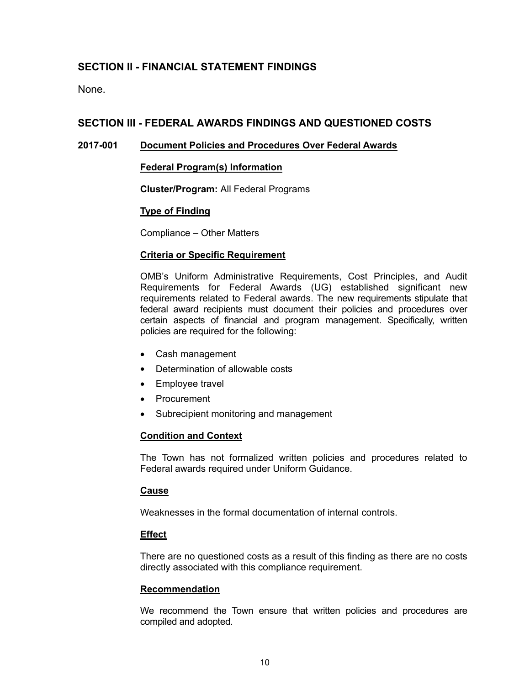#### **SECTION II - FINANCIAL STATEMENT FINDINGS**

None.

#### **SECTION III - FEDERAL AWARDS FINDINGS AND QUESTIONED COSTS**

#### **2017-001 Document Policies and Procedures Over Federal Awards**

#### **Federal Program(s) Information**

**Cluster/Program:** All Federal Programs

#### **Type of Finding**

Compliance – Other Matters

#### **Criteria or Specific Requirement**

OMB's Uniform Administrative Requirements, Cost Principles, and Audit Requirements for Federal Awards (UG) established significant new requirements related to Federal awards. The new requirements stipulate that federal award recipients must document their policies and procedures over certain aspects of financial and program management. Specifically, written policies are required for the following:

- Cash management
- Determination of allowable costs
- Employee travel
- Procurement
- Subrecipient monitoring and management

#### **Condition and Context**

The Town has not formalized written policies and procedures related to Federal awards required under Uniform Guidance.

#### **Cause**

Weaknesses in the formal documentation of internal controls.

#### **Effect**

There are no questioned costs as a result of this finding as there are no costs directly associated with this compliance requirement.

#### **Recommendation**

We recommend the Town ensure that written policies and procedures are compiled and adopted.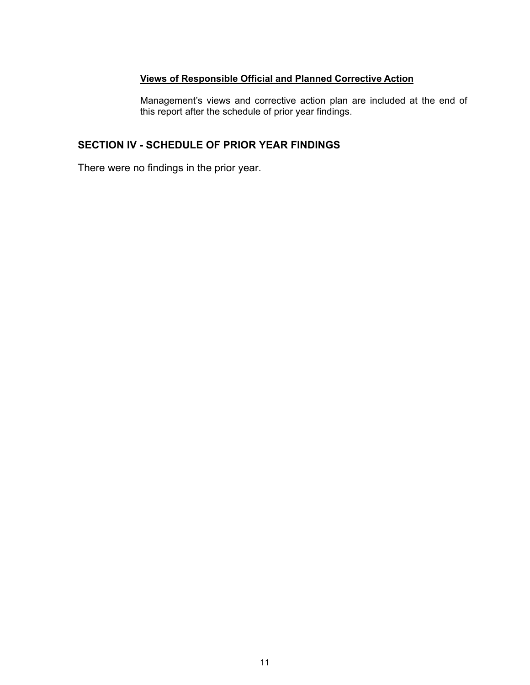## **Views of Responsible Official and Planned Corrective Action**

Management's views and corrective action plan are included at the end of this report after the schedule of prior year findings.

# **SECTION IV - SCHEDULE OF PRIOR YEAR FINDINGS**

There were no findings in the prior year.